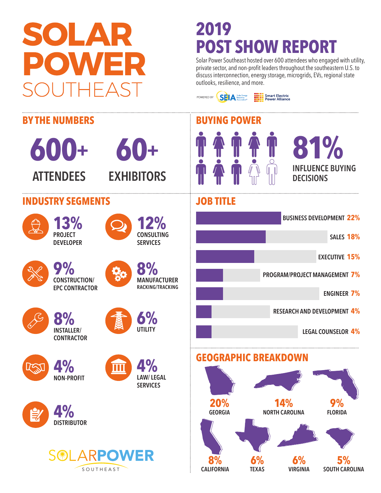# SOLAR ER)

## **2019 POST SHOW REPORT**

POWERED BY **SELA** Solar Energy

Solar Power Southeast hosted over 600 attendees who engaged with utility, private sector, and non-profit leaders throughout the southeastern U.S. to discuss interconnection, energy storage, microgrids, EVs, regional state outlooks, resilience, and more.

**Smart Electric**<br>Power Alliance